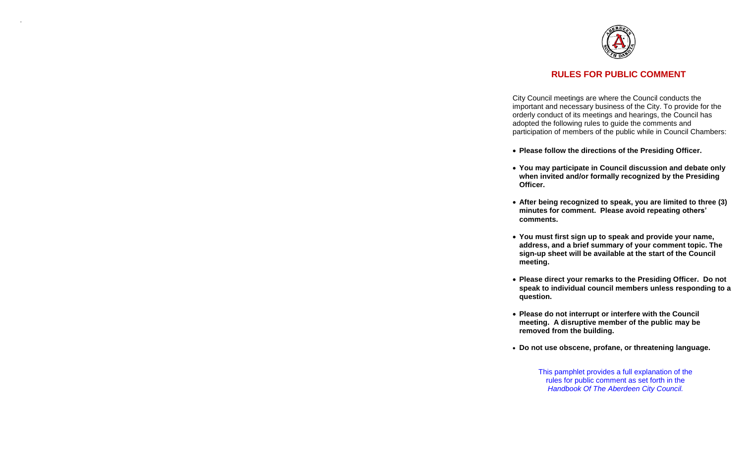

.

# **RULES FOR PUBLIC COMMENT**

City Council meetings are where the Council conducts the important and necessary business of the City. To provide for the orderly conduct of its meetings and hearings, the Council has adopted the following rules to guide the comments and participation of members of the public while in Council Chambers :

- **Please follow the directions of the Presiding Officer.**
- **You may participate in Council discussion and debate only when invited and/or formally recognized by the Presiding Officer.**
- **After being recognized to speak, you are limited to three (3) minutes for comment. Please avoid repeating others' comments.**
- **You must first sign up to speak and provide your name, address, and a brief summary of your comment topic. The sign -up sheet will be available at the start of the Council meeting.**
- **Please direct you r remarks to the Presiding Officer. Do not speak to individual council members unless responding to a question.**
- **Please do not interrupt or interfere with the Council meeting. A disruptive member of the public may be removed from the building.**
- **Do not use obscene, profane, or threatening language.**

This pamphlet provides a full explanation of the rules for public comment as set forth in the *Handbook Of The Aberdeen City Council.*